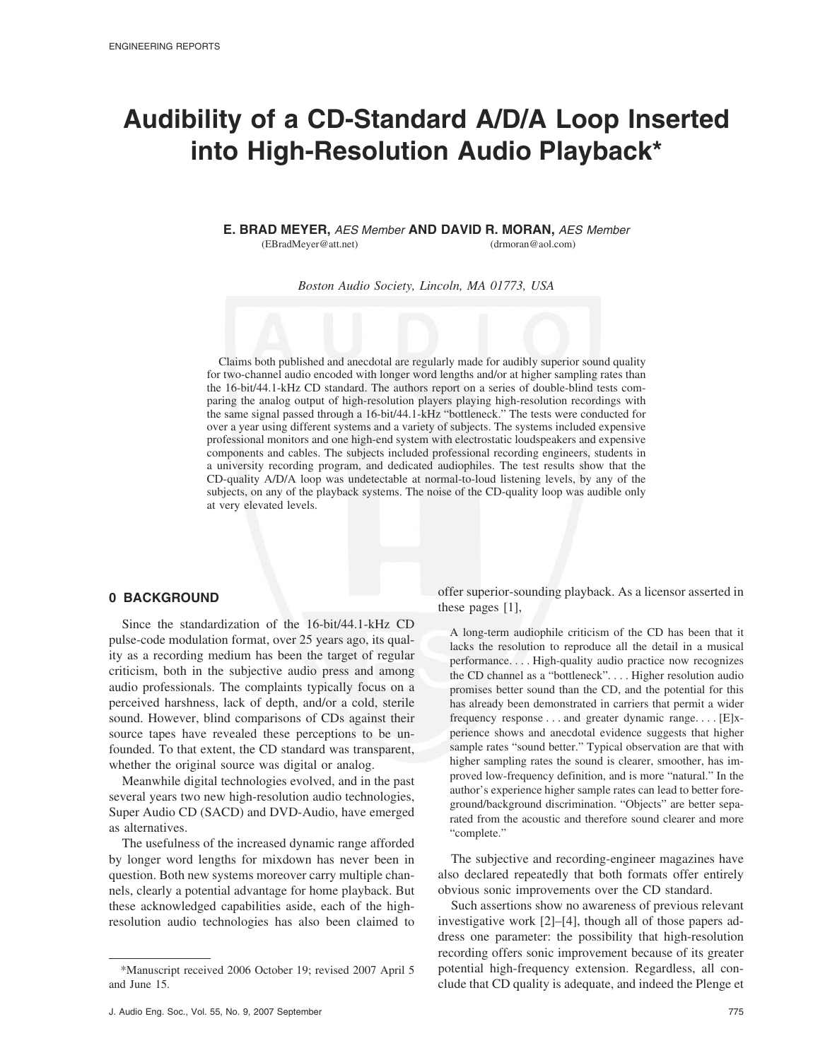# **Audibility of a CD-Standard A/D/A Loop Inserted into High-Resolution Audio Playback\***

**E. BRAD MEYER,** *AES Member* **AND DAVID R. MORAN,** *AES Member*

(EBradMeyer@att.net) (drmoran@aol.com)

*Boston Audio Society, Lincoln, MA 01773, USA*

Claims both published and anecdotal are regularly made for audibly superior sound quality for two-channel audio encoded with longer word lengths and/or at higher sampling rates than the 16-bit/44.1-kHz CD standard. The authors report on a series of double-blind tests comparing the analog output of high-resolution players playing high-resolution recordings with the same signal passed through a 16-bit/44.1-kHz "bottleneck." The tests were conducted for over a year using different systems and a variety of subjects. The systems included expensive professional monitors and one high-end system with electrostatic loudspeakers and expensive components and cables. The subjects included professional recording engineers, students in a university recording program, and dedicated audiophiles. The test results show that the CD-quality A/D/A loop was undetectable at normal-to-loud listening levels, by any of the subjects, on any of the playback systems. The noise of the CD-quality loop was audible only at very elevated levels.

# **0 BACKGROUND**

Since the standardization of the 16-bit/44.1-kHz CD pulse-code modulation format, over 25 years ago, its quality as a recording medium has been the target of regular criticism, both in the subjective audio press and among audio professionals. The complaints typically focus on a perceived harshness, lack of depth, and/or a cold, sterile sound. However, blind comparisons of CDs against their source tapes have revealed these perceptions to be unfounded. To that extent, the CD standard was transparent, whether the original source was digital or analog.

Meanwhile digital technologies evolved, and in the past several years two new high-resolution audio technologies, Super Audio CD (SACD) and DVD-Audio, have emerged as alternatives.

The usefulness of the increased dynamic range afforded by longer word lengths for mixdown has never been in question. Both new systems moreover carry multiple channels, clearly a potential advantage for home playback. But these acknowledged capabilities aside, each of the highresolution audio technologies has also been claimed to

offer superior-sounding playback. As a licensor asserted in these pages [1],

A long-term audiophile criticism of the CD has been that it lacks the resolution to reproduce all the detail in a musical performance.... High-quality audio practice now recognizes the CD channel as a "bottleneck".... Higher resolution audio promises better sound than the CD, and the potential for this has already been demonstrated in carriers that permit a wider frequency response . . . and greater dynamic range.... [E]xperience shows and anecdotal evidence suggests that higher sample rates "sound better." Typical observation are that with higher sampling rates the sound is clearer, smoother, has improved low-frequency definition, and is more "natural." In the author's experience higher sample rates can lead to better foreground/background discrimination. "Objects" are better separated from the acoustic and therefore sound clearer and more "complete."

The subjective and recording-engineer magazines have also declared repeatedly that both formats offer entirely obvious sonic improvements over the CD standard.

Such assertions show no awareness of previous relevant investigative work [2]–[4], though all of those papers address one parameter: the possibility that high-resolution recording offers sonic improvement because of its greater potential high-frequency extension. Regardless, all conclude that CD quality is adequate, and indeed the Plenge et

<sup>\*</sup>Manuscript received 2006 October 19; revised 2007 April 5 and June 15.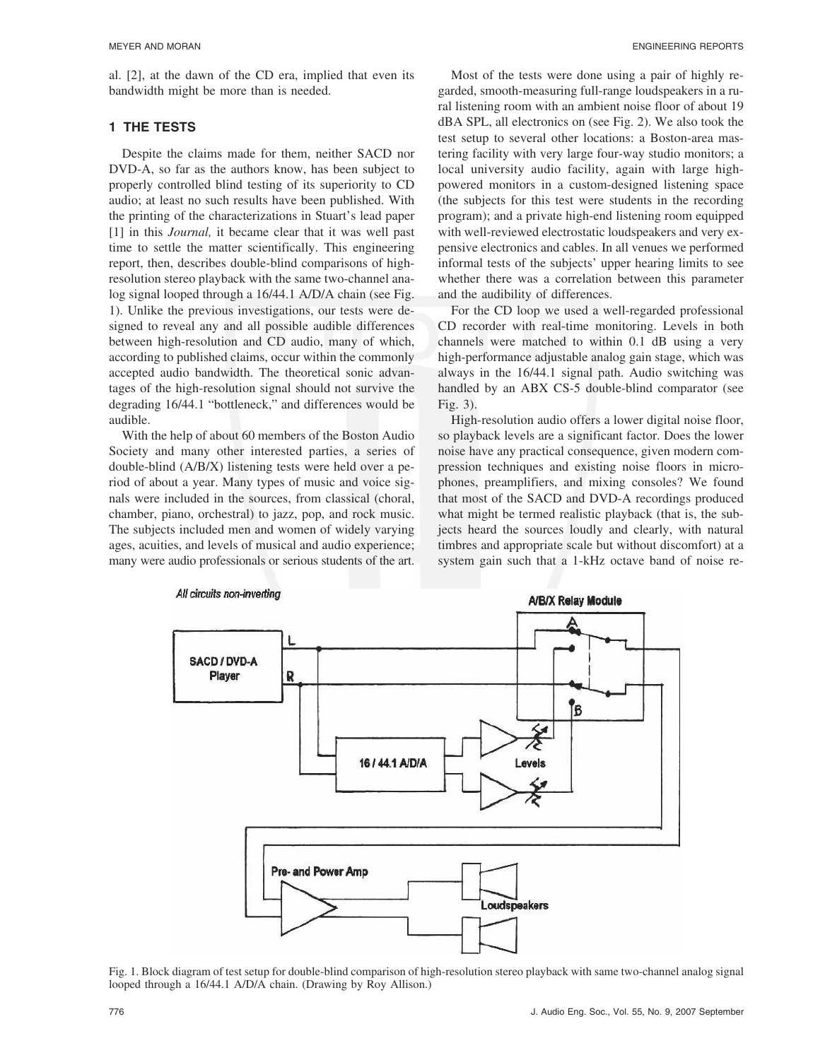al. [2], at the dawn of the CD era, implied that even its bandwidth might be more than is needed.

### **1 THE TESTS**

Despite the claims made for them, neither SACD nor DVD-A, so far as the authors know, has been subject to properly controlled blind testing of its superiority to CD audio; at least no such results have been published. With the printing of the characterizations in Stuart's lead paper [1] in this *Journal,* it became clear that it was well past time to settle the matter scientifically. This engineering report, then, describes double-blind comparisons of highresolution stereo playback with the same two-channel analog signal looped through a 16/44.1 A/D/A chain (see Fig. 1). Unlike the previous investigations, our tests were designed to reveal any and all possible audible differences between high-resolution and CD audio, many of which, according to published claims, occur within the commonly accepted audio bandwidth. The theoretical sonic advantages of the high-resolution signal should not survive the degrading 16/44.1 "bottleneck," and differences would be audible.

With the help of about 60 members of the Boston Audio Society and many other interested parties, a series of double-blind (A/B/X) listening tests were held over a period of about a year. Many types of music and voice signals were included in the sources, from classical (choral, chamber, piano, orchestral) to jazz, pop, and rock music. The subjects included men and women of widely varying ages, acuities, and levels of musical and audio experience; many were audio professionals or serious students of the art.

Most of the tests were done using a pair of highly regarded, smooth-measuring full-range loudspeakers in a rural listening room with an ambient noise floor of about 19 dBA SPL, all electronics on (see Fig. 2). We also took the test setup to several other locations: a Boston-area mastering facility with very large four-way studio monitors; a local university audio facility, again with large highpowered monitors in a custom-designed listening space (the subjects for this test were students in the recording program); and a private high-end listening room equipped with well-reviewed electrostatic loudspeakers and very expensive electronics and cables. In all venues we performed informal tests of the subjects' upper hearing limits to see whether there was a correlation between this parameter and the audibility of differences.

For the CD loop we used a well-regarded professional CD recorder with real-time monitoring. Levels in both channels were matched to within 0.1 dB using a very high-performance adjustable analog gain stage, which was always in the 16/44.1 signal path. Audio switching was handled by an ABX CS-5 double-blind comparator (see Fig. 3).

High-resolution audio offers a lower digital noise floor, so playback levels are a significant factor. Does the lower noise have any practical consequence, given modern compression techniques and existing noise floors in microphones, preamplifiers, and mixing consoles? We found that most of the SACD and DVD-A recordings produced what might be termed realistic playback (that is, the subjects heard the sources loudly and clearly, with natural timbres and appropriate scale but without discomfort) at a system gain such that a 1-kHz octave band of noise re-



Fig. 1. Block diagram of test setup for double-blind comparison of high-resolution stereo playback with same two-channel analog signal looped through a 16/44.1 A/D/A chain. (Drawing by Roy Allison.)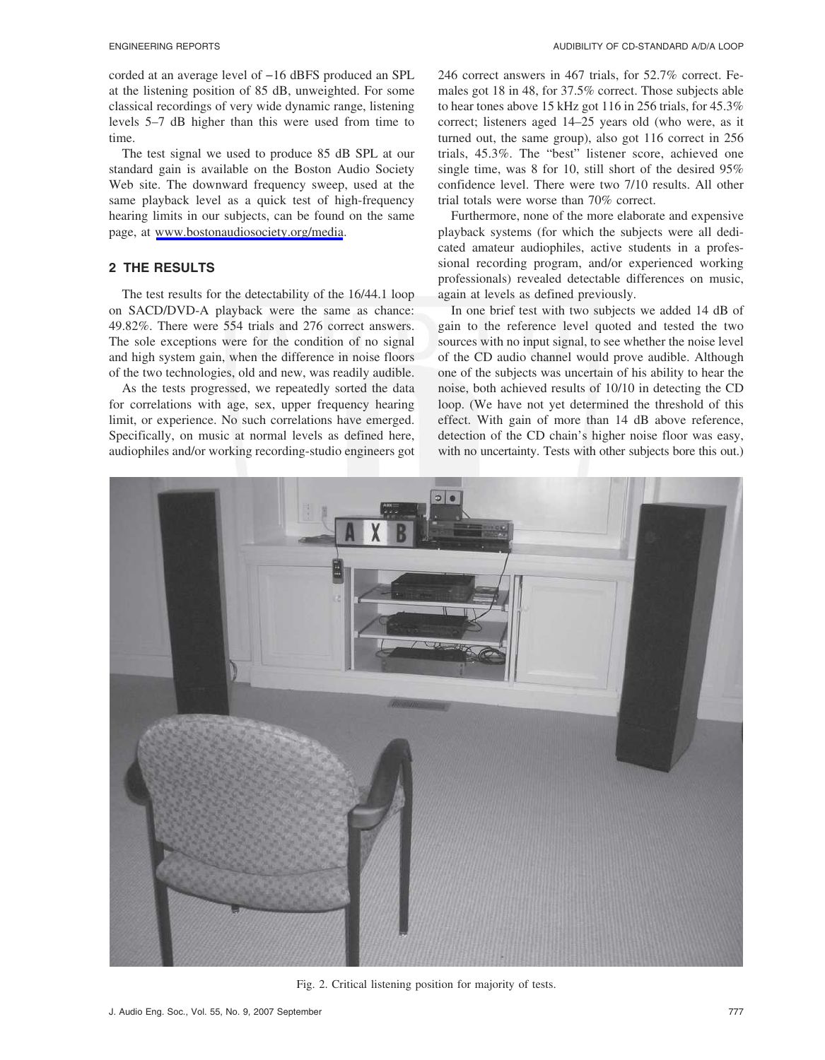corded at an average level of −16 dBFS produced an SPL at the listening position of 85 dB, unweighted. For some classical recordings of very wide dynamic range, listening levels 5–7 dB higher than this were used from time to time.

The test signal we used to produce 85 dB SPL at our standard gain is available on the Boston Audio Society Web site. The downward frequency sweep, used at the same playback level as a quick test of high-frequency hearing limits in our subjects, can be found on the same page, at [www.bostonaudiosociety.org/media](http://www.bostonaudiosociety.org/media).

### **2 THE RESULTS**

The test results for the detectability of the 16/44.1 loop on SACD/DVD-A playback were the same as chance: 49.82%. There were 554 trials and 276 correct answers. The sole exceptions were for the condition of no signal and high system gain, when the difference in noise floors of the two technologies, old and new, was readily audible.

As the tests progressed, we repeatedly sorted the data for correlations with age, sex, upper frequency hearing limit, or experience. No such correlations have emerged. Specifically, on music at normal levels as defined here, audiophiles and/or working recording-studio engineers got 246 correct answers in 467 trials, for 52.7% correct. Females got 18 in 48, for 37.5% correct. Those subjects able to hear tones above 15 kHz got 116 in 256 trials, for 45.3% correct; listeners aged 14–25 years old (who were, as it turned out, the same group), also got 116 correct in 256 trials, 45.3%. The "best" listener score, achieved one single time, was 8 for 10, still short of the desired 95% confidence level. There were two 7/10 results. All other trial totals were worse than 70% correct.

Furthermore, none of the more elaborate and expensive playback systems (for which the subjects were all dedicated amateur audiophiles, active students in a professional recording program, and/or experienced working professionals) revealed detectable differences on music, again at levels as defined previously.

In one brief test with two subjects we added 14 dB of gain to the reference level quoted and tested the two sources with no input signal, to see whether the noise level of the CD audio channel would prove audible. Although one of the subjects was uncertain of his ability to hear the noise, both achieved results of 10/10 in detecting the CD loop. (We have not yet determined the threshold of this effect. With gain of more than 14 dB above reference, detection of the CD chain's higher noise floor was easy, with no uncertainty. Tests with other subjects bore this out.)



Fig. 2. Critical listening position for majority of tests.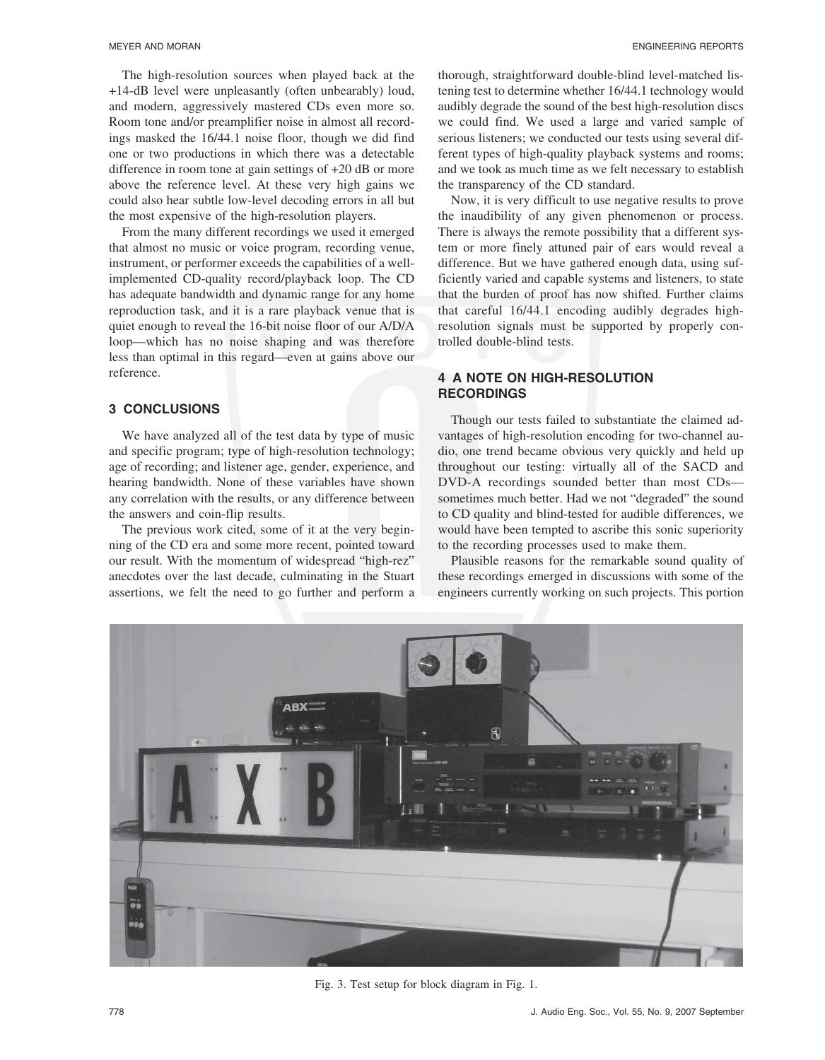The high-resolution sources when played back at the +14-dB level were unpleasantly (often unbearably) loud, and modern, aggressively mastered CDs even more so. Room tone and/or preamplifier noise in almost all recordings masked the 16/44.1 noise floor, though we did find one or two productions in which there was a detectable difference in room tone at gain settings of +20 dB or more above the reference level. At these very high gains we could also hear subtle low-level decoding errors in all but the most expensive of the high-resolution players.

From the many different recordings we used it emerged that almost no music or voice program, recording venue, instrument, or performer exceeds the capabilities of a wellimplemented CD-quality record/playback loop. The CD has adequate bandwidth and dynamic range for any home reproduction task, and it is a rare playback venue that is quiet enough to reveal the 16-bit noise floor of our A/D/A loop—which has no noise shaping and was therefore less than optimal in this regard—even at gains above our reference.

#### **3 CONCLUSIONS**

We have analyzed all of the test data by type of music and specific program; type of high-resolution technology; age of recording; and listener age, gender, experience, and hearing bandwidth. None of these variables have shown any correlation with the results, or any difference between the answers and coin-flip results.

The previous work cited, some of it at the very beginning of the CD era and some more recent, pointed toward our result. With the momentum of widespread "high-rez" anecdotes over the last decade, culminating in the Stuart assertions, we felt the need to go further and perform a

thorough, straightforward double-blind level-matched listening test to determine whether 16/44.1 technology would audibly degrade the sound of the best high-resolution discs we could find. We used a large and varied sample of serious listeners; we conducted our tests using several different types of high-quality playback systems and rooms; and we took as much time as we felt necessary to establish the transparency of the CD standard.

Now, it is very difficult to use negative results to prove the inaudibility of any given phenomenon or process. There is always the remote possibility that a different system or more finely attuned pair of ears would reveal a difference. But we have gathered enough data, using sufficiently varied and capable systems and listeners, to state that the burden of proof has now shifted. Further claims that careful 16/44.1 encoding audibly degrades highresolution signals must be supported by properly controlled double-blind tests.

# **4 A NOTE ON HIGH-RESOLUTION RECORDINGS**

Though our tests failed to substantiate the claimed advantages of high-resolution encoding for two-channel audio, one trend became obvious very quickly and held up throughout our testing: virtually all of the SACD and DVD-A recordings sounded better than most CDs sometimes much better. Had we not "degraded" the sound to CD quality and blind-tested for audible differences, we would have been tempted to ascribe this sonic superiority to the recording processes used to make them.

Plausible reasons for the remarkable sound quality of these recordings emerged in discussions with some of the engineers currently working on such projects. This portion



Fig. 3. Test setup for block diagram in Fig. 1.